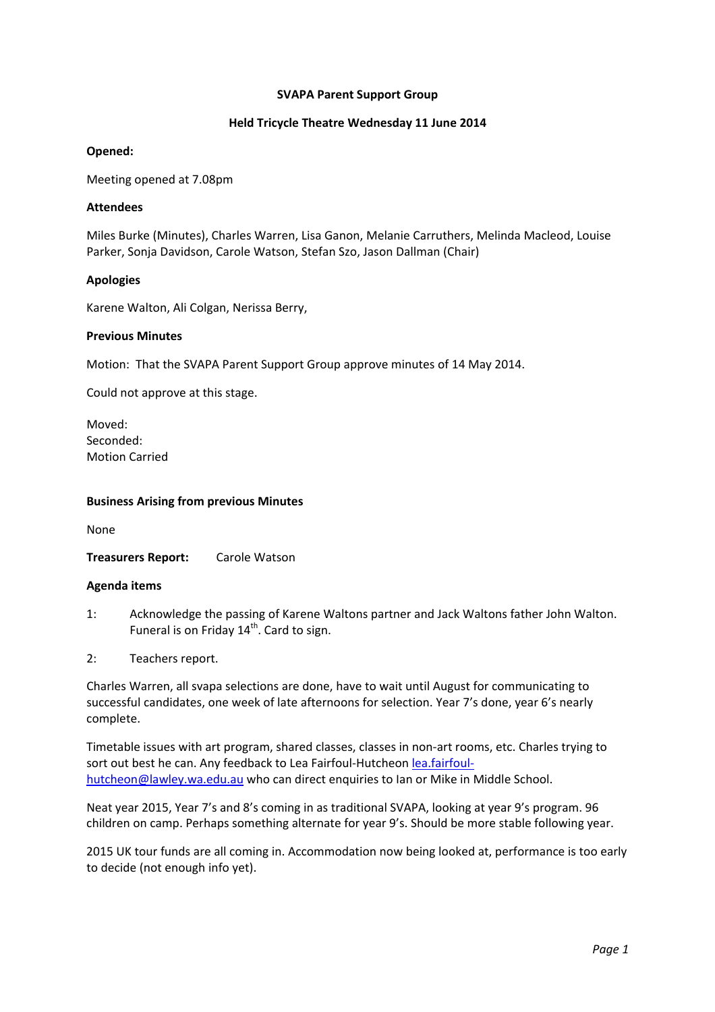# **SVAPA Parent Support Group**

# **Held Tricycle Theatre Wednesday 11 June 2014**

# **Opened:**

Meeting opened at 7.08pm

# **Attendees**

Miles Burke (Minutes), Charles Warren, Lisa Ganon, Melanie Carruthers, Melinda Macleod, Louise Parker, Sonja Davidson, Carole Watson, Stefan Szo, Jason Dallman (Chair)

# **Apologies**

Karene Walton, Ali Colgan, Nerissa Berry,

# **Previous Minutes**

Motion: That the SVAPA Parent Support Group approve minutes of 14 May 2014.

Could not approve at this stage.

Moved: Seconded: Motion Carried

### **Business Arising from previous Minutes**

None

**Treasurers Report:** Carole Watson

#### **Agenda items**

- 1: Acknowledge the passing of Karene Waltons partner and Jack Waltons father John Walton. Funeral is on Friday  $14<sup>th</sup>$ . Card to sign.
- 2: Teachers report.

Charles Warren, all svapa selections are done, have to wait until August for communicating to successful candidates, one week of late afternoons for selection. Year 7's done, year 6's nearly complete.

Timetable issues with art program, shared classes, classes in non‐art rooms, etc. Charles trying to sort out best he can. Any feedback to Lea Fairfoul‐Hutcheon lea.fairfoul‐ hutcheon@lawley.wa.edu.au who can direct enquiries to Ian or Mike in Middle School.

Neat year 2015, Year 7's and 8's coming in as traditional SVAPA, looking at year 9's program. 96 children on camp. Perhaps something alternate for year 9's. Should be more stable following year.

2015 UK tour funds are all coming in. Accommodation now being looked at, performance is too early to decide (not enough info yet).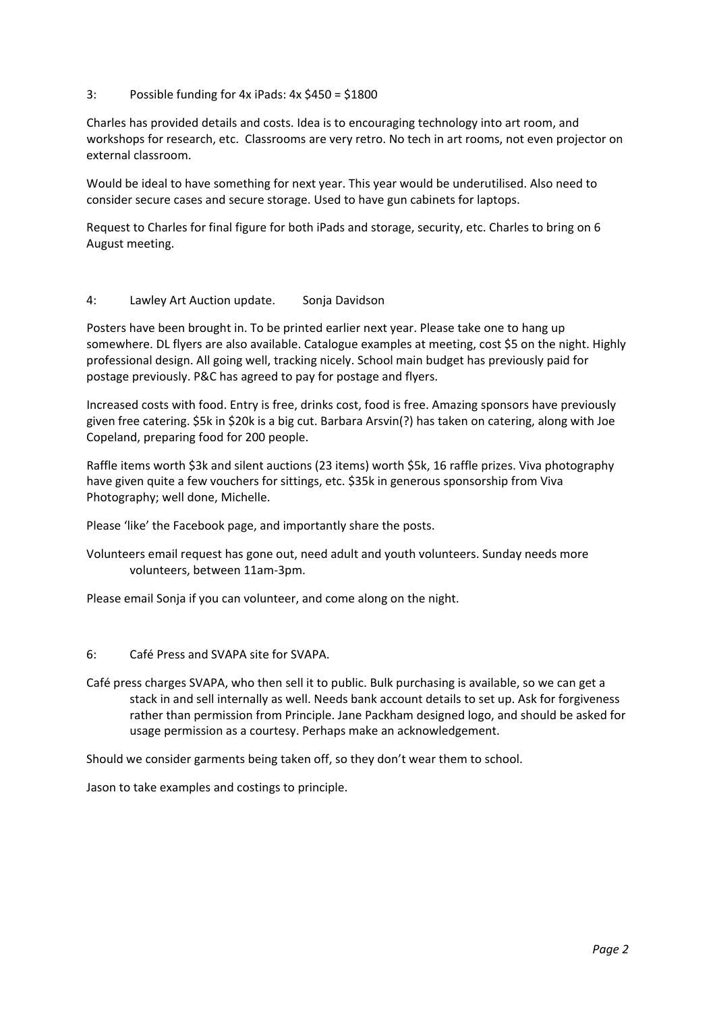# 3: Possible funding for 4x iPads: 4x \$450 = \$1800

Charles has provided details and costs. Idea is to encouraging technology into art room, and workshops for research, etc. Classrooms are very retro. No tech in art rooms, not even projector on external classroom.

Would be ideal to have something for next year. This year would be underutilised. Also need to consider secure cases and secure storage. Used to have gun cabinets for laptops.

Request to Charles for final figure for both iPads and storage, security, etc. Charles to bring on 6 August meeting.

# 4: Lawley Art Auction update. Sonja Davidson

Posters have been brought in. To be printed earlier next year. Please take one to hang up somewhere. DL flyers are also available. Catalogue examples at meeting, cost \$5 on the night. Highly professional design. All going well, tracking nicely. School main budget has previously paid for postage previously. P&C has agreed to pay for postage and flyers.

Increased costs with food. Entry is free, drinks cost, food is free. Amazing sponsors have previously given free catering. \$5k in \$20k is a big cut. Barbara Arsvin(?) has taken on catering, along with Joe Copeland, preparing food for 200 people.

Raffle items worth \$3k and silent auctions (23 items) worth \$5k, 16 raffle prizes. Viva photography have given quite a few vouchers for sittings, etc. \$35k in generous sponsorship from Viva Photography; well done, Michelle.

Please 'like' the Facebook page, and importantly share the posts.

Volunteers email request has gone out, need adult and youth volunteers. Sunday needs more volunteers, between 11am‐3pm.

Please email Sonja if you can volunteer, and come along on the night.

- 6: Café Press and SVAPA site for SVAPA.
- Café press charges SVAPA, who then sell it to public. Bulk purchasing is available, so we can get a stack in and sell internally as well. Needs bank account details to set up. Ask for forgiveness rather than permission from Principle. Jane Packham designed logo, and should be asked for usage permission as a courtesy. Perhaps make an acknowledgement.

Should we consider garments being taken off, so they don't wear them to school.

Jason to take examples and costings to principle.